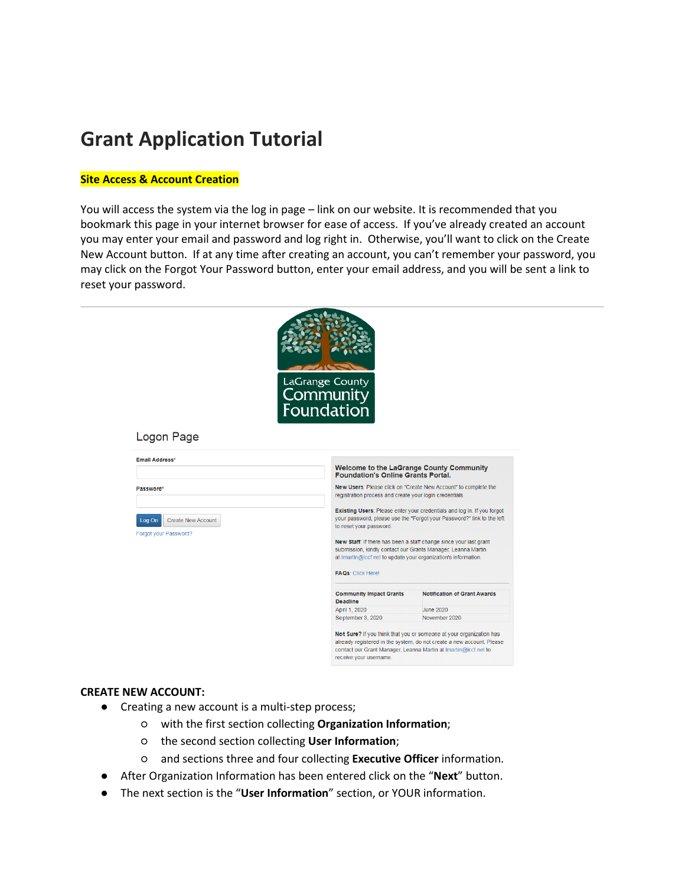# **Grant Application Tutorial**

## **Site Access & Account Creation**

You will access the system via the log in page – link on our website. It is recommended that you bookmark this page in your internet browser for ease of access. If you've already created an account you may enter your email and password and log right in. Otherwise, you'll want to click on the Create New Account button. If at any time after creating an account, you can't remember your password, you may click on the Forgot Your Password button, enter your email address, and you will be sent a link to reset your password.



#### **CREATE NEW ACCOUNT:**

- Creating a new account is a multi-step process;
	- with the first section collecting **Organization Information**;
	- the second section collecting **User Information**;
	- and sections three and four collecting **Executive Officer** information.
- After Organization Information has been entered click on the "**Next**" button.
- The next section is the "**User Information**" section, or YOUR information.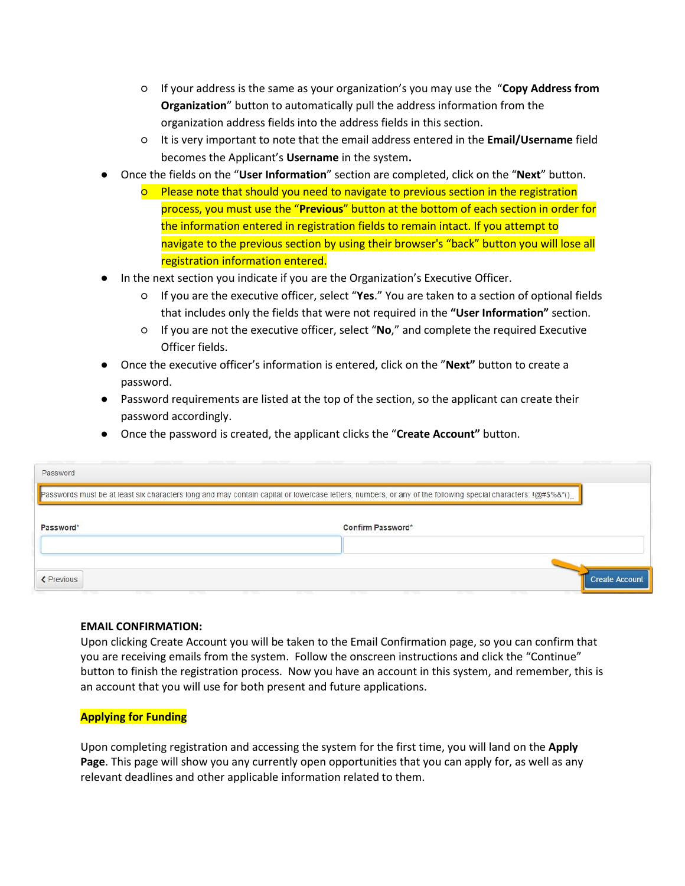- If your address is the same as your organization's you may use the "**Copy Address from Organization**" button to automatically pull the address information from the organization address fields into the address fields in this section.
- It is very important to note that the email address entered in the **Email/Username** field becomes the Applicant's **Username** in the system**.**
- Once the fields on the "**User Information**" section are completed, click on the "**Next**" button.
	- Please note that should you need to navigate to previous section in the registration process, you must use the "**Previous**" button at the bottom of each section in order for the information entered in registration fields to remain intact. If you attempt to navigate to the previous section by using their browser's "back" button you will lose all registration information entered.
- In the next section you indicate if you are the Organization's Executive Officer.
	- If you are the executive officer, select "**Yes**." You are taken to a section of optional fields that includes only the fields that were not required in the **"User Information"** section.
	- If you are not the executive officer, select "**No**," and complete the required Executive Officer fields.
- Once the executive officer's information is entered, click on the "**Next"** button to create a password.
- Password requirements are listed at the top of the section, so the applicant can create their password accordingly.
- Once the password is created, the applicant clicks the "**Create Account"** button.

| Password          |                                                                                                                                                                  |
|-------------------|------------------------------------------------------------------------------------------------------------------------------------------------------------------|
|                   | Passwords must be at least six characters long and may contain capital or lowercase letters, numbers, or any of the following special characters: $1@$ #\$%&*()_ |
| Password*         | Confirm Password*                                                                                                                                                |
| <b>≮</b> Previous | <b>Create Account</b>                                                                                                                                            |

## **EMAIL CONFIRMATION:**

Upon clicking Create Account you will be taken to the Email Confirmation page, so you can confirm that you are receiving emails from the system. Follow the onscreen instructions and click the "Continue" button to finish the registration process. Now you have an account in this system, and remember, this is an account that you will use for both present and future applications.

# **Applying for Funding**

Upon completing registration and accessing the system for the first time, you will land on the **Apply Page**. This page will show you any currently open opportunities that you can apply for, as well as any relevant deadlines and other applicable information related to them.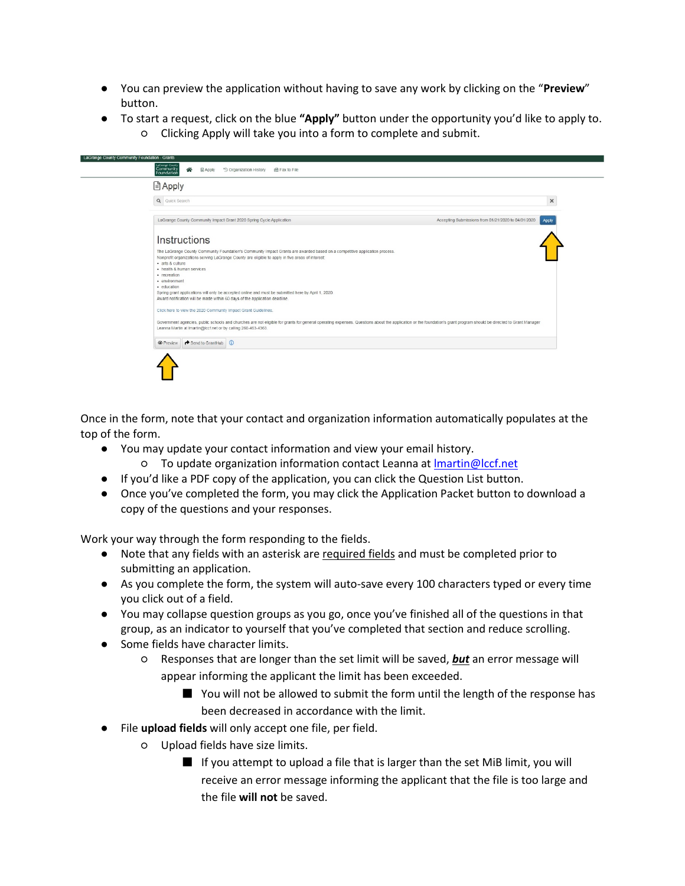- You can preview the application without having to save any work by clicking on the "**Preview**" button.
- To start a request, click on the blue **"Apply"** button under the opportunity you'd like to apply to. ○ Clicking Apply will take you into a form to complete and submit.

| <b>■ Apply</b>                                                                                                                                                                                                                                                                                  |
|-------------------------------------------------------------------------------------------------------------------------------------------------------------------------------------------------------------------------------------------------------------------------------------------------|
| $\times$<br>Q Quick Search                                                                                                                                                                                                                                                                      |
| Accepting Submissions from 01/21/2020 to 04/01/2020<br>LaGrange County Community Impact Grant 2020 Spring Cycle Application<br>Apply                                                                                                                                                            |
| Instructions                                                                                                                                                                                                                                                                                    |
| The LaGrange County Community Foundation's Community Impact Grants are awarded based on a competitive application process.<br>Nonprofit organizations serving LaGrange County are eligible to apply in five areas of interest:<br>· arts & culture<br>· health & human services<br>· recreation |
| • environment<br>- education<br>Spring grant applications will only be accepted online and must be submitted here by April 1, 2020.<br>Award notification will be made within 60 days of the application deadline.                                                                              |
| Click here to view the 2020 Community Impact Grant Guidelines.                                                                                                                                                                                                                                  |
| Government agencies, public schools and churches are not eligible for grants for general operating expenses. Questions about the application or the foundation's grant program should be directed to Grant Manager<br>Leanna Martin at Imartin@Iccf.net or by calling 260-463-4363.             |
| Send to GrantHub (<br><b>O</b> Preview                                                                                                                                                                                                                                                          |

Once in the form, note that your contact and organization information automatically populates at the top of the form.

- You may update your contact information and view your email history.
	- To update organization information contact Leanna at [lmartin@lccf.net](mailto:lmartin@lccf.net)
- If you'd like a PDF copy of the application, you can click the Question List button.
- Once you've completed the form, you may click the Application Packet button to download a copy of the questions and your responses.

Work your way through the form responding to the fields.

- Note that any fields with an asterisk are required fields and must be completed prior to submitting an application.
- As you complete the form, the system will auto-save every 100 characters typed or every time you click out of a field.
- You may collapse question groups as you go, once you've finished all of the questions in that group, as an indicator to yourself that you've completed that section and reduce scrolling.
- Some fields have character limits.
	- Responses that are longer than the set limit will be saved, *but* an error message will appear informing the applicant the limit has been exceeded.
		- You will not be allowed to submit the form until the length of the response has been decreased in accordance with the limit.
- File **upload fields** will only accept one file, per field.
	- Upload fields have size limits.
		- If you attempt to upload a file that is larger than the set MiB limit, you will receive an error message informing the applicant that the file is too large and the file **will not** be saved.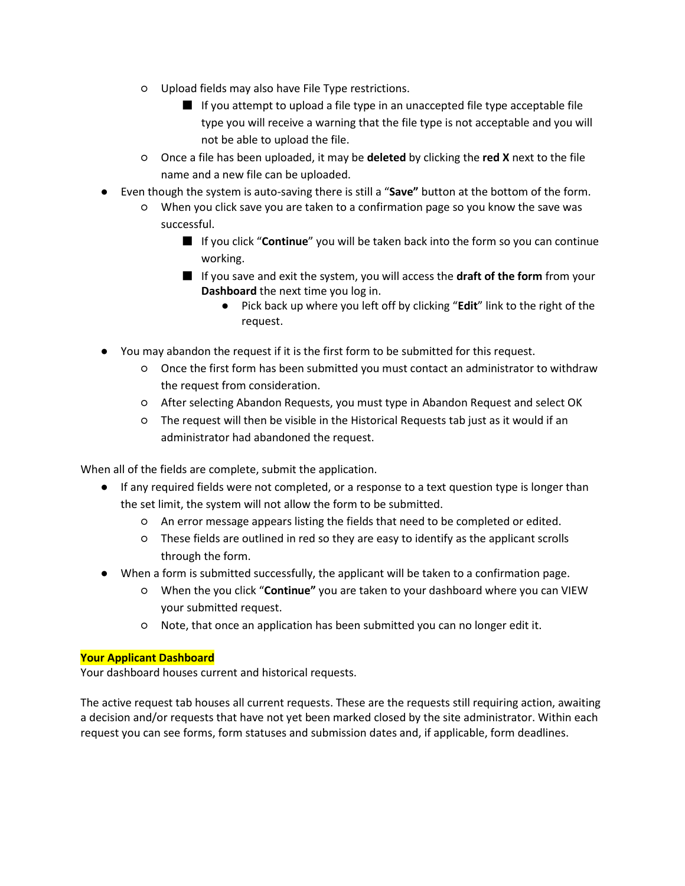- Upload fields may also have File Type restrictions.
	- If you attempt to upload a file type in an unaccepted file type acceptable file type you will receive a warning that the file type is not acceptable and you will not be able to upload the file.
- Once a file has been uploaded, it may be **deleted** by clicking the **red X** next to the file name and a new file can be uploaded.
- Even though the system is auto-saving there is still a "**Save"** button at the bottom of the form.
	- When you click save you are taken to a confirmation page so you know the save was successful.
		- If you click "**Continue**" you will be taken back into the form so you can continue working.
		- If you save and exit the system, you will access the **draft of the form** from your **Dashboard** the next time you log in.
			- Pick back up where you left off by clicking "**Edit**" link to the right of the request.
- You may abandon the request if it is the first form to be submitted for this request.
	- Once the first form has been submitted you must contact an administrator to withdraw the request from consideration.
	- After selecting Abandon Requests, you must type in Abandon Request and select OK
	- The request will then be visible in the Historical Requests tab just as it would if an administrator had abandoned the request.

When all of the fields are complete, submit the application.

- If any required fields were not completed, or a response to a text question type is longer than the set limit, the system will not allow the form to be submitted.
	- An error message appears listing the fields that need to be completed or edited.
	- These fields are outlined in red so they are easy to identify as the applicant scrolls through the form.
- When a form is submitted successfully, the applicant will be taken to a confirmation page.
	- When the you click "**Continue"** you are taken to your dashboard where you can VIEW your submitted request.
	- Note, that once an application has been submitted you can no longer edit it.

# **Your Applicant Dashboard**

Your dashboard houses current and historical requests.

The active request tab houses all current requests. These are the requests still requiring action, awaiting a decision and/or requests that have not yet been marked closed by the site administrator. Within each request you can see forms, form statuses and submission dates and, if applicable, form deadlines.